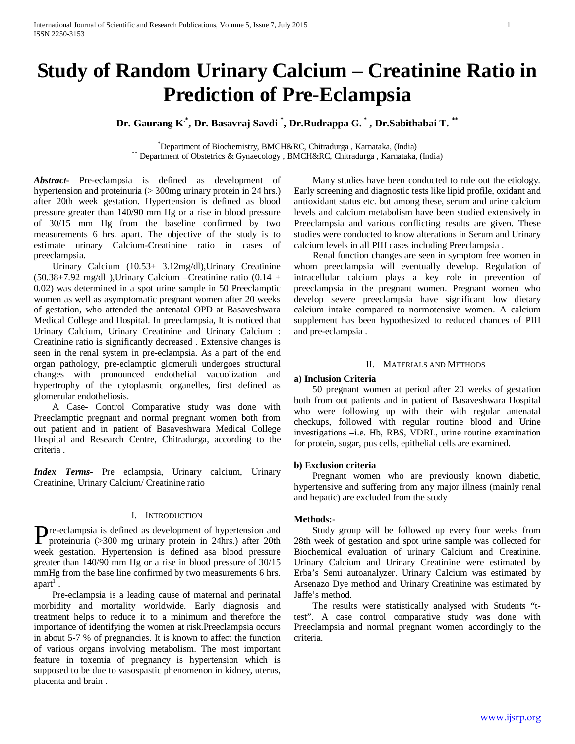# **Study of Random Urinary Calcium – Creatinine Ratio in Prediction of Pre-Eclampsia**

**Dr. Gaurang K.\*, Dr. Basavraj Savdi \* , Dr.Rudrappa G. \* , Dr.Sabithabai T. \*\***

\*Department of Biochemistry, BMCH&RC, Chitradurga, Karnataka, (India) \*\* Department of Obstetrics & Gynaecology , BMCH&RC, Chitradurga , Karnataka, (India)

*Abstract***-** Pre-eclampsia is defined as development of hypertension and proteinuria (> 300mg urinary protein in 24 hrs.) after 20th week gestation. Hypertension is defined as blood pressure greater than 140/90 mm Hg or a rise in blood pressure of 30/15 mm Hg from the baseline confirmed by two measurements 6 hrs. apart. The objective of the study is to estimate urinary Calcium-Creatinine ratio in cases of preeclampsia.

 Urinary Calcium (10.53+ 3.12mg/dl),Urinary Creatinine  $(50.38+7.92 \text{ mg/dl})$ , Urinary Calcium – Creatinine ratio  $(0.14 +$ 0.02) was determined in a spot urine sample in 50 Preeclamptic women as well as asymptomatic pregnant women after 20 weeks of gestation, who attended the antenatal OPD at Basaveshwara Medical College and Hospital. In preeclampsia, It is noticed that Urinary Calcium, Urinary Creatinine and Urinary Calcium : Creatinine ratio is significantly decreased . Extensive changes is seen in the renal system in pre-eclampsia. As a part of the end organ pathology, pre-eclamptic glomeruli undergoes structural changes with pronounced endothelial vacuolization and hypertrophy of the cytoplasmic organelles, first defined as glomerular endotheliosis.

 A Case- Control Comparative study was done with Preeclamptic pregnant and normal pregnant women both from out patient and in patient of Basaveshwara Medical College Hospital and Research Centre, Chitradurga, according to the criteria .

*Index Terms*- Pre eclampsia, Urinary calcium, Urinary Creatinine, Urinary Calcium/ Creatinine ratio

### I. INTRODUCTION

**P**re-eclampsia is defined as development of hypertension and proteinuria (>300 mg urinary protein in 24hrs.) after 20th proteinuria (>300 mg urinary protein in 24hrs.) after 20th week gestation. Hypertension is defined asa blood pressure greater than 140/90 mm Hg or a rise in blood pressure of 30/15 mmHg from the base line confirmed by two measurements 6 hrs. apart<sup>1</sup>.

 Pre-eclampsia is a leading cause of maternal and perinatal morbidity and mortality worldwide. Early diagnosis and treatment helps to reduce it to a minimum and therefore the importance of identifying the women at risk.Preeclampsia occurs in about 5-7 % of pregnancies. It is known to affect the function of various organs involving metabolism. The most important feature in toxemia of pregnancy is hypertension which is supposed to be due to vasospastic phenomenon in kidney, uterus, placenta and brain .

 Many studies have been conducted to rule out the etiology. Early screening and diagnostic tests like lipid profile, oxidant and antioxidant status etc. but among these, serum and urine calcium levels and calcium metabolism have been studied extensively in Preeclampsia and various conflicting results are given. These studies were conducted to know alterations in Serum and Urinary calcium levels in all PIH cases including Preeclampsia .

 Renal function changes are seen in symptom free women in whom preeclampsia will eventually develop. Regulation of intracellular calcium plays a key role in prevention of preeclampsia in the pregnant women. Pregnant women who develop severe preeclampsia have significant low dietary calcium intake compared to normotensive women. A calcium supplement has been hypothesized to reduced chances of PIH and pre-eclampsia .

## II. MATERIALS AND METHODS

# **a) Inclusion Criteria**

 50 pregnant women at period after 20 weeks of gestation both from out patients and in patient of Basaveshwara Hospital who were following up with their with regular antenatal checkups, followed with regular routine blood and Urine investigations –i.e. Hb, RBS, VDRL, urine routine examination for protein, sugar, pus cells, epithelial cells are examined.

# **b) Exclusion criteria**

 Pregnant women who are previously known diabetic, hypertensive and suffering from any major illness (mainly renal and hepatic) are excluded from the study

# **Methods:-**

 Study group will be followed up every four weeks from 28th week of gestation and spot urine sample was collected for Biochemical evaluation of urinary Calcium and Creatinine. Urinary Calcium and Urinary Creatinine were estimated by Erba's Semi autoanalyzer. Urinary Calcium was estimated by Arsenazo Dye method and Urinary Creatinine was estimated by Jaffe's method.

 The results were statistically analysed with Students "ttest". A case control comparative study was done with Preeclampsia and normal pregnant women accordingly to the criteria.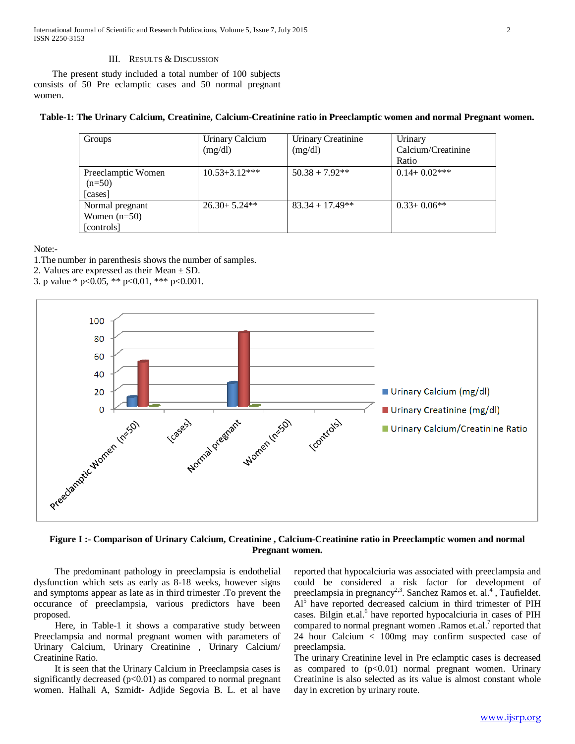International Journal of Scientific and Research Publications, Volume 5, Issue 7, July 2015 2 ISSN 2250-3153

#### III. RESULTS & DISCUSSION

 The present study included a total number of 100 subjects consists of 50 Pre eclamptic cases and 50 normal pregnant women.

## **Table-1: The Urinary Calcium, Creatinine, Calcium-Creatinine ratio in Preeclamptic women and normal Pregnant women.**

| Groups                         | Urinary Calcium<br>(mg/dl) | Urinary Creatinine<br>(mg/dl) | Urinary<br>Calcium/Creatinine |
|--------------------------------|----------------------------|-------------------------------|-------------------------------|
|                                |                            |                               | Ratio                         |
| Preeclamptic Women<br>$(n=50)$ | $10.53 + 3.12***$          | $50.38 + 7.92**$              | $0.14+0.02***$                |
| [cases]<br>Normal pregnant     | $26.30 + 5.24**$           | $83.34 + 17.49**$             | $0.33+0.06**$                 |
| Women $(n=50)$<br>[controls]   |                            |                               |                               |

Note:-

1.The number in parenthesis shows the number of samples.

2. Values are expressed as their Mean  $\pm$  SD.

3. p value \* p<0.05, \*\* p<0.01, \*\*\* p<0.001.



# **Figure I :- Comparison of Urinary Calcium, Creatinine , Calcium-Creatinine ratio in Preeclamptic women and normal Pregnant women.**

 The predominant pathology in preeclampsia is endothelial dysfunction which sets as early as 8-18 weeks, however signs and symptoms appear as late as in third trimester .To prevent the occurance of preeclampsia, various predictors have been proposed.

 Here, in Table-1 it shows a comparative study between Preeclampsia and normal pregnant women with parameters of Urinary Calcium, Urinary Creatinine , Urinary Calcium/ Creatinine Ratio.

 It is seen that the Urinary Calcium in Preeclampsia cases is significantly decreased  $(p<0.01)$  as compared to normal pregnant women. Halhali A, Szmidt- Adjide Segovia B. L. et al have

reported that hypocalciuria was associated with preeclampsia and could be considered a risk factor for development of preeclampsia in pregnancy<sup>2,3</sup>. Sanchez Ramos et. al.<sup>4</sup>, Taufieldet. Al<sup>5</sup> have reported decreased calcium in third trimester of PIH cases. Bilgin et.al.<sup>6</sup> have reported hypocalciuria in cases of PIH compared to normal pregnant women . Ramos et.al.<sup>7</sup> reported that 24 hour Calcium < 100mg may confirm suspected case of preeclampsia.

The urinary Creatinine level in Pre eclamptic cases is decreased as compared to  $(p<0.01)$  normal pregnant women. Urinary Creatinine is also selected as its value is almost constant whole day in excretion by urinary route.